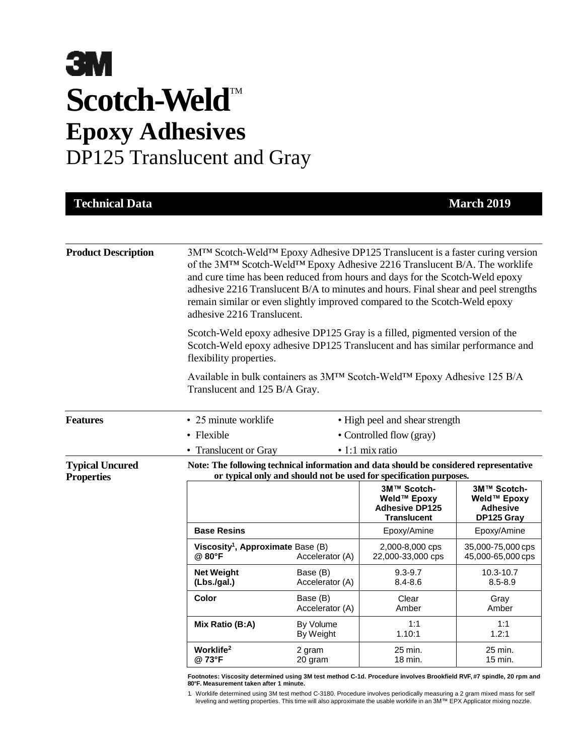# **3M** Scotch-Weld<sup>™</sup> **Epoxy Adhesives** DP125 Translucent and Gray

| <b>Technical Data</b>                       |                                                                                                                                                                                        |                             |                                                                                                                                                                                                                                                                                                                                                                                                                   | <b>March 2019</b>                                           |  |
|---------------------------------------------|----------------------------------------------------------------------------------------------------------------------------------------------------------------------------------------|-----------------------------|-------------------------------------------------------------------------------------------------------------------------------------------------------------------------------------------------------------------------------------------------------------------------------------------------------------------------------------------------------------------------------------------------------------------|-------------------------------------------------------------|--|
|                                             |                                                                                                                                                                                        |                             |                                                                                                                                                                                                                                                                                                                                                                                                                   |                                                             |  |
| <b>Product Description</b>                  | adhesive 2216 Translucent.                                                                                                                                                             |                             | 3MTM Scotch-WeldTM Epoxy Adhesive DP125 Translucent is a faster curing version<br>of the 3MTM Scotch-WeldTM Epoxy Adhesive 2216 Translucent B/A. The worklife<br>and cure time has been reduced from hours and days for the Scotch-Weld epoxy<br>adhesive 2216 Translucent B/A to minutes and hours. Final shear and peel strengths<br>remain similar or even slightly improved compared to the Scotch-Weld epoxy |                                                             |  |
|                                             | Scotch-Weld epoxy adhesive DP125 Gray is a filled, pigmented version of the<br>Scotch-Weld epoxy adhesive DP125 Translucent and has similar performance and<br>flexibility properties. |                             |                                                                                                                                                                                                                                                                                                                                                                                                                   |                                                             |  |
|                                             | Translucent and 125 B/A Gray.                                                                                                                                                          |                             | Available in bulk containers as 3M™ Scotch-Weld™ Epoxy Adhesive 125 B/A                                                                                                                                                                                                                                                                                                                                           |                                                             |  |
| <b>Features</b>                             | • 25 minute worklife<br>• High peel and shear strength                                                                                                                                 |                             |                                                                                                                                                                                                                                                                                                                                                                                                                   |                                                             |  |
|                                             | • Flexible<br>• Controlled flow (gray)                                                                                                                                                 |                             |                                                                                                                                                                                                                                                                                                                                                                                                                   |                                                             |  |
|                                             | · 1:1 mix ratio<br>• Translucent or Gray                                                                                                                                               |                             |                                                                                                                                                                                                                                                                                                                                                                                                                   |                                                             |  |
| <b>Typical Uncured</b><br><b>Properties</b> | Note: The following technical information and data should be considered representative<br>or typical only and should not be used for specification purposes.                           |                             |                                                                                                                                                                                                                                                                                                                                                                                                                   |                                                             |  |
|                                             |                                                                                                                                                                                        |                             | 3M™ Scotch-<br>Weld™ Epoxy<br><b>Adhesive DP125</b><br><b>Translucent</b>                                                                                                                                                                                                                                                                                                                                         | 3M™ Scotch-<br>Weld™ Epoxy<br><b>Adhesive</b><br>DP125 Gray |  |
|                                             | <b>Base Resins</b>                                                                                                                                                                     |                             | Epoxy/Amine                                                                                                                                                                                                                                                                                                                                                                                                       | Epoxy/Amine                                                 |  |
|                                             | Viscosity <sup>1</sup> , Approximate Base (B)<br>@ 80°F                                                                                                                                | Accelerator (A)             | 2,000-8,000 cps<br>22,000-33,000 cps                                                                                                                                                                                                                                                                                                                                                                              | 35,000-75,000 cps<br>45,000-65,000 cps                      |  |
|                                             | <b>Net Weight</b><br>(Lbs./gal.)                                                                                                                                                       | Base (B)<br>Accelerator (A) | $9.3 - 9.7$<br>$8.4 - 8.6$                                                                                                                                                                                                                                                                                                                                                                                        | $10.3 - 10.7$<br>$8.5 - 8.9$                                |  |
|                                             | <b>Color</b>                                                                                                                                                                           | Base (B)<br>Accelerator (A) | Clear<br>Amber                                                                                                                                                                                                                                                                                                                                                                                                    | Gray<br>Amber                                               |  |
|                                             | Mix Ratio (B:A)                                                                                                                                                                        | By Volume<br>By Weight      | 1:1<br>1.10:1                                                                                                                                                                                                                                                                                                                                                                                                     | 1:1<br>1.2:1                                                |  |
|                                             | Worklife <sup>2</sup><br>@73°F                                                                                                                                                         | 2 gram<br>20 gram           | 25 min.<br>18 min.                                                                                                                                                                                                                                                                                                                                                                                                | 25 min.<br>$15$ min.                                        |  |

**Footnotes: Viscosity determined using 3M test method C-1d. Procedure involves Brookfield RVF, #7 spindle, 20 rpm and 80°F. Measurement taken after 1 minute.**

1. Worklife determined using 3M test method C-3180. Procedure involves periodically measuring a 2 gram mixed mass for self leveling and wetting properties. This time will also approximate the usable worklife in an 3M™ EPX Applicator mixing nozzle.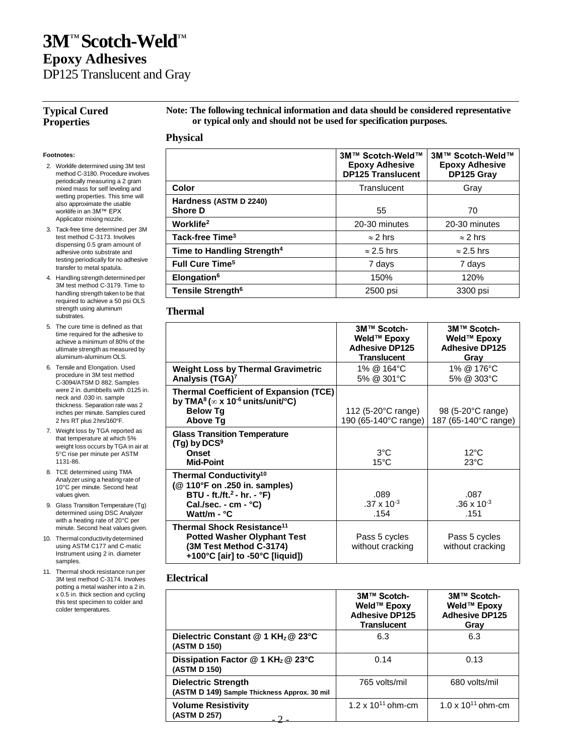## **3M**™ **Scotch-Weld**™ **Epoxy Adhesives**

DP125 Translucent and Gray

#### **Typical Cured Properties**

**Note: The following technical information and data should be considered representative or typical only and should not be used for specification purposes.**

#### **Physical**

#### **Footnotes:**

- 2. Worklife determined using 3M test method C-3180. Procedure involves periodically measuring a 2 gram mixed mass for self leveling and wetting properties. This time will also approximate the usable worklife in an 3M™ EPX Applicator mixing nozzle.
- 3. Tack-free time determined per 3M test method C-3173. Involves dispensing 0.5 gram amount of adhesive onto substrate and testing periodically for no adhesive transfer to metal spatula.
- 4. Handling strength determined per 3M test method C-3179. Time to handling strength taken to be that required to achieve a 50 psi OLS strength using aluminum substrates.
- 5. The cure time is defined as that time required for the adhesive to achieve a minimum of 80% of the ultimate strength as measured by aluminum-aluminum OLS.
- 6. Tensile and Elongation. Used procedure in 3M test method C-3094/ATSM D 882. Samples were 2 in. dumbbells with .0125 in. neck and .030 in. sample thickness. Separation rate was 2 inches per minute. Samples cured 2 hrs RT plus 2hrs/160°F.
- 7. Weight loss by TGA reported as that temperature at which 5% weight loss occurs by TGA in air at 5°C rise per minute per ASTM 1131-86.
- 8. TCE determined using TMA Analyzer using a heating rate of 10°C per minute. Second heat values given.
- 9. Glass Transition Temperature (Tg) determined using DSC Analyzer with a heating rate of 20°C per minute. Second heat values given.
- 10. Thermal conductivitydetermined using ASTM C177 and C-matic Instrument using 2 in. diameter samples.
- 11. Thermal shock resistance run per 3M test method C-3174. Involves potting a metal washer into a 2 in. x 0.5 in. thick section and cycling this test specimen to colder and colder temperatures.

|                                          | 3M™ Scotch-Weld™<br><b>Epoxy Adhesive</b><br><b>DP125 Translucent</b> | 3M™ Scotch-Weld™<br><b>Epoxy Adhesive</b><br>DP125 Gray |
|------------------------------------------|-----------------------------------------------------------------------|---------------------------------------------------------|
| Color                                    | Translucent                                                           | Gray                                                    |
| Hardness (ASTM D 2240)<br><b>Shore D</b> | 55                                                                    | 70                                                      |
| Worklife <sup>2</sup>                    | 20-30 minutes                                                         | 20-30 minutes                                           |
| Tack-free Time <sup>3</sup>              | $\approx$ 2 hrs                                                       | $\approx$ 2 hrs                                         |
| Time to Handling Strength <sup>4</sup>   | $\approx$ 2.5 hrs                                                     | $\approx$ 2.5 hrs                                       |
| <b>Full Cure Time<sup>5</sup></b>        | 7 days                                                                | 7 days                                                  |
| Elongation <sup>6</sup>                  | 150%                                                                  | 120%                                                    |
| Tensile Strength <sup>6</sup>            | 2500 psi                                                              | 3300 psi                                                |

#### **Thermal**

|                                                                                                                                            | 3M™ Scotch-<br>Weld™ Epoxy<br><b>Adhesive DP125</b><br><b>Translucent</b> | 3M™ Scotch-<br>Weld™ Epoxy<br><b>Adhesive DP125</b><br>Gray |
|--------------------------------------------------------------------------------------------------------------------------------------------|---------------------------------------------------------------------------|-------------------------------------------------------------|
| <b>Weight Loss by Thermal Gravimetric</b><br>Analysis (TGA) <sup>7</sup>                                                                   | 1% @ 164°C<br>5% @ 301°C                                                  | 1% @ 176°C<br>5% @ 303°C                                    |
| <b>Thermal Coefficient of Expansion (TCE)</b><br>by TMA <sup>8</sup> ( $\infty$ x 10 <sup>-6</sup> units/unit/°C)                          |                                                                           |                                                             |
| <b>Below Tg</b><br><b>Above Tq</b>                                                                                                         | 112 (5-20°C range)<br>190 (65-140°C range)                                | 98 (5-20°C range)<br>187 (65-140°C range)                   |
| <b>Glass Transition Temperature</b><br>$(Tg)$ by DCS <sup>9</sup>                                                                          |                                                                           |                                                             |
| <b>Onset</b><br><b>Mid-Point</b>                                                                                                           | $3^{\circ}$ C<br>$15^{\circ}$ C                                           | $12^{\circ}$ C<br>$23^{\circ}$ C                            |
| Thermal Conductivity <sup>10</sup><br>(@ 110°F on .250 in. samples)                                                                        |                                                                           |                                                             |
| BTU - ft./ft. <sup>2</sup> - hr. - °F)<br>Cal./sec. - $cm - °C$ )                                                                          | .089<br>$.37 \times 10^{-3}$                                              | .087<br>$.36 \times 10^{-3}$                                |
| Watt/m - °C                                                                                                                                | .154                                                                      | .151                                                        |
| Thermal Shock Resistance <sup>11</sup><br><b>Potted Washer Olyphant Test</b><br>(3M Test Method C-3174)<br>+100°C [air] to -50°C [liquid]) | Pass 5 cycles<br>without cracking                                         | Pass 5 cycles<br>without cracking                           |

#### **Electrical**

|                                                                            | 3M™ Scotch-<br>Weld™ Epoxy<br><b>Adhesive DP125</b><br><b>Translucent</b> | 3M™ Scotch-<br>Weld™ Epoxy<br><b>Adhesive DP125</b><br>Grav |
|----------------------------------------------------------------------------|---------------------------------------------------------------------------|-------------------------------------------------------------|
| Dielectric Constant @ 1 KH <sub>z</sub> @ 23°C<br>(ASTM D 150)             | 6.3                                                                       | 6.3                                                         |
| Dissipation Factor @ 1 KH <sub>z</sub> @ 23°C<br>(ASTM D 150)              | 0.14                                                                      | 0.13                                                        |
| <b>Dielectric Strength</b><br>(ASTM D 149) Sample Thickness Approx. 30 mil | 765 volts/mil                                                             | 680 volts/mil                                               |
| <b>Volume Resistivity</b><br>(ASTM D 257)                                  | 1.2 x $10^{11}$ ohm-cm                                                    | 1.0 x $10^{11}$ ohm-cm                                      |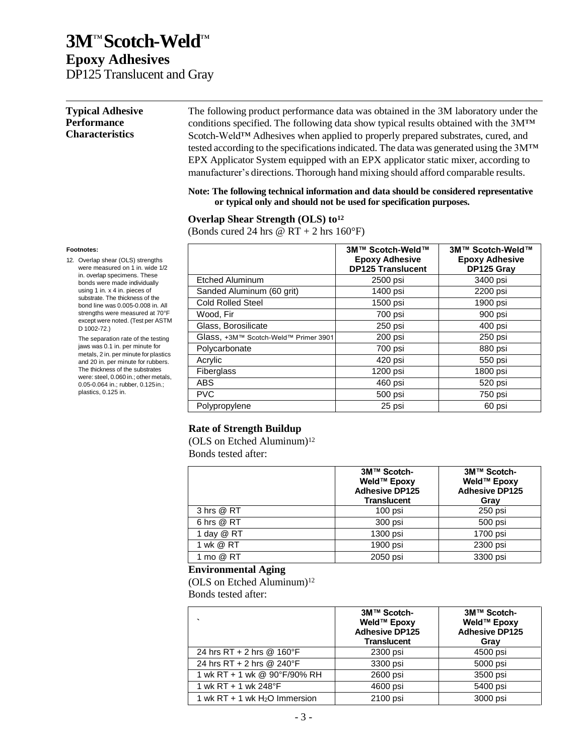## **Epoxy Adhesives**

DP125 Translucent and Gray

#### **Typical Adhesive Performance Characteristics** The following product performance data was obtained in the 3M laboratory under the conditions specified. The following data show typical results obtained with the 3M™ Scotch-Weld™ Adhesives when applied to properly prepared substrates, cured, and tested according to the specifications indicated. The data was generated using the 3M™ EPX Applicator System equipped with an EPX applicator static mixer, according to

**Note: The following technical information and data should be considered representative or typical only and should not be used for specification purposes.**

manufacturer's directions. Thorough hand mixing should afford comparable results.

#### **Overlap Shear Strength (OLS) to<sup>12</sup>**

(Bonds cured 24 hrs  $\omega$  RT + 2 hrs 160°F)

|                                      | 3M™ Scotch-Weld™<br><b>Epoxy Adhesive</b><br><b>DP125 Translucent</b> | 3M™ Scotch-Weld™<br><b>Epoxy Adhesive</b><br>DP125 Gray |
|--------------------------------------|-----------------------------------------------------------------------|---------------------------------------------------------|
| <b>Etched Aluminum</b>               | 2500 psi                                                              | 3400 psi                                                |
| Sanded Aluminum (60 grit)            | 1400 psi                                                              | 2200 psi                                                |
| <b>Cold Rolled Steel</b>             | 1500 psi                                                              | 1900 psi                                                |
| Wood, Fir                            | 700 psi                                                               | 900 psi                                                 |
| Glass, Borosilicate                  | 250 psi                                                               | 400 psi                                                 |
| Glass, +3M™ Scotch-Weld™ Primer 3901 | 200 psi                                                               | 250 psi                                                 |
| Polycarbonate                        | 700 psi                                                               | 880 psi                                                 |
| Acrylic                              | 420 psi                                                               | 550 psi                                                 |
| Fiberglass                           | 1200 psi                                                              | 1800 psi                                                |
| <b>ABS</b>                           | 460 psi                                                               | 520 psi                                                 |
| <b>PVC</b>                           | 500 psi                                                               | 750 psi                                                 |
| Polypropylene                        | 25 psi                                                                | 60 psi                                                  |

#### **Rate of Strength Buildup**

(OLS on Etched Aluminum)<sup>12</sup> Bonds tested after:

|            | 3M™ Scotch-<br>Weld™ Epoxy<br><b>Adhesive DP125</b><br><b>Translucent</b> | 3M™ Scotch-<br>Weld™ Epoxy<br><b>Adhesive DP125</b><br>Gray |
|------------|---------------------------------------------------------------------------|-------------------------------------------------------------|
| 3 hrs @ RT | $100$ psi                                                                 | 250 psi                                                     |
| 6 hrs @ RT | 300 psi                                                                   | 500 psi                                                     |
| 1 day @ RT | 1300 psi                                                                  | 1700 psi                                                    |
| 1 wk @ RT  | 1900 psi                                                                  | 2300 psi                                                    |
| 1 mo @ RT  | 2050 psi                                                                  | 3300 psi                                                    |

#### **Environmental Aging**

(OLS on Etched Aluminum)<sup>12</sup>

Bonds tested after:

| $\cdot$                         | 3M™ Scotch-<br>Weld™ Epoxy<br><b>Adhesive DP125</b><br><b>Translucent</b> | 3M™ Scotch-<br>Weld™ Epoxy<br><b>Adhesive DP125</b><br>Gray |
|---------------------------------|---------------------------------------------------------------------------|-------------------------------------------------------------|
| 24 hrs RT + 2 hrs @ 160°F       | 2300 psi                                                                  | 4500 psi                                                    |
| 24 hrs RT + 2 hrs @ 240°F       | 3300 psi                                                                  | 5000 psi                                                    |
| 1 wk RT + 1 wk @ 90°F/90% RH    | 2600 psi                                                                  | 3500 psi                                                    |
| 1 wk RT + 1 wk 248°F            | 4600 psi                                                                  | 5400 psi                                                    |
| 1 wk RT + 1 wk $H_2O$ Immersion | 2100 psi                                                                  | 3000 psi                                                    |

#### **Footnotes:**

12. Overlap shear (OLS) strengths were measured on 1 in. wide 1/2 in. overlap specimens. These bonds were made individually using 1 in. x 4 in. pieces of substrate. The thickness of the bond line was 0.005-0.008 in. All strengths were measured at 70°F except were noted. (Test per ASTM D 1002-72.)

> The separation rate of the testing jaws was 0.1 in. per minute for metals, 2 in. per minute for plastics and 20 in. per minute for rubbers. The thickness of the substrates were: steel, 0.060 in.; other metals, 0.05-0.064 in.; rubber, 0.125in.; plastics, 0.125 in.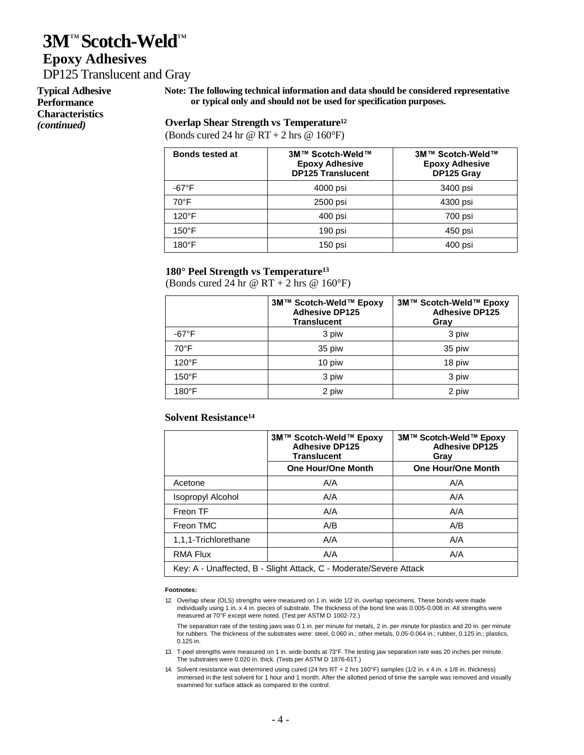### **Epoxy Adhesives**

DP125 Translucent and Gray

**Typical Adhesive Performance Characteristics**  *(continued)*

**Note: The following technical information and data should be considered representative or typical only and should not be used for specification purposes.**

#### **Overlap Shear Strength vs Temperature<sup>12</sup>**

(Bonds cured 24 hr  $\omega$  RT + 2 hrs  $\omega$  160°F)

| <b>Bonds tested at</b> | 3M™ Scotch-Weld™<br><b>Epoxy Adhesive</b><br><b>DP125 Translucent</b> | 3M™ Scotch-Weld™<br><b>Epoxy Adhesive</b><br>DP125 Gray |
|------------------------|-----------------------------------------------------------------------|---------------------------------------------------------|
| $-67^{\circ}F$         | 4000 psi                                                              | 3400 psi                                                |
| $70^{\circ}$ F         | 2500 psi                                                              | 4300 psi                                                |
| $120^{\circ}$ F        | 400 psi                                                               | 700 psi                                                 |
| $150^{\circ}$ F        | 190 psi                                                               | 450 psi                                                 |
| $180^\circ F$          | 150 psi                                                               | 400 psi                                                 |

#### **180° Peel Strength vs Temperature<sup>13</sup>**

(Bonds cured 24 hr  $\omega$  RT + 2 hrs  $\omega$  160°F)

|                 | 3M™ Scotch-Weld™ Epoxy<br><b>Adhesive DP125</b><br><b>Translucent</b> | 3M™ Scotch-Weld™ Epoxy<br><b>Adhesive DP125</b><br>Gray |
|-----------------|-----------------------------------------------------------------------|---------------------------------------------------------|
| $-67^{\circ}F$  | 3 piw                                                                 | 3 piw                                                   |
| $70^{\circ}$ F  | 35 piw                                                                | 35 piw                                                  |
| 120°F           | 10 piw                                                                | 18 piw                                                  |
| $150^{\circ}$ F | 3 piw                                                                 | 3 piw                                                   |
| 180°F           | 2 piw                                                                 | 2 piw                                                   |

#### **Solvent Resistance<sup>14</sup>**

|                                                                    | 3M™ Scotch-Weld™ Epoxy<br><b>Adhesive DP125</b><br><b>Translucent</b> | 3M™ Scotch-Weld™ Epoxy<br><b>Adhesive DP125</b><br>Gray |
|--------------------------------------------------------------------|-----------------------------------------------------------------------|---------------------------------------------------------|
|                                                                    | <b>One Hour/One Month</b>                                             | <b>One Hour/One Month</b>                               |
| Acetone                                                            | A/A                                                                   | A/A                                                     |
| Isopropyl Alcohol                                                  | A/A                                                                   | A/A                                                     |
| Freon TF                                                           | A/A                                                                   | A/A                                                     |
| Freon TMC                                                          | A/B                                                                   | A/B                                                     |
| 1,1,1-Trichlorethane                                               | A/A                                                                   | A/A                                                     |
| <b>RMA Flux</b>                                                    | A/A                                                                   | A/A                                                     |
| Key: A - Unaffected, B - Slight Attack, C - Moderate/Severe Attack |                                                                       |                                                         |

#### **Footnotes:**

12. Overlap shear (OLS) strengths were measured on 1 in. wide 1/2 in. overlap specimens. These bonds were made individually using 1 in. x 4 in. pieces of substrate. The thickness of the bond line was 0.005-0.008 in. All strengths were measured at 70°F except were noted. (Test per ASTM D 1002-72.)

The separation rate of the testing jaws was 0.1 in. per minute for metals, 2 in. per minute for plastics and 20 in. per minute for rubbers. The thickness of the substrates were: steel, 0.060 in.; other metals, 0.05-0.064 in.; rubber, 0.125 in.; plastics, 0.125 in.

13. T-peel strengths were measured on 1 in. wide bonds at 73°F. The testing jaw separation rate was 20 inches per minute. The substrates were 0.020 in. thick. (Tests per ASTM D 1876-61T.)

14. Solvent resistance was determined using cured (24 hrs RT + 2 hrs 160°F) samples (1/2 in. x 4 in. x 1/8 in. thickness) immersed in the test solvent for 1 hour and 1 month. After the allotted period of time the sample was removed and visually examined for surface attack as compared to the control.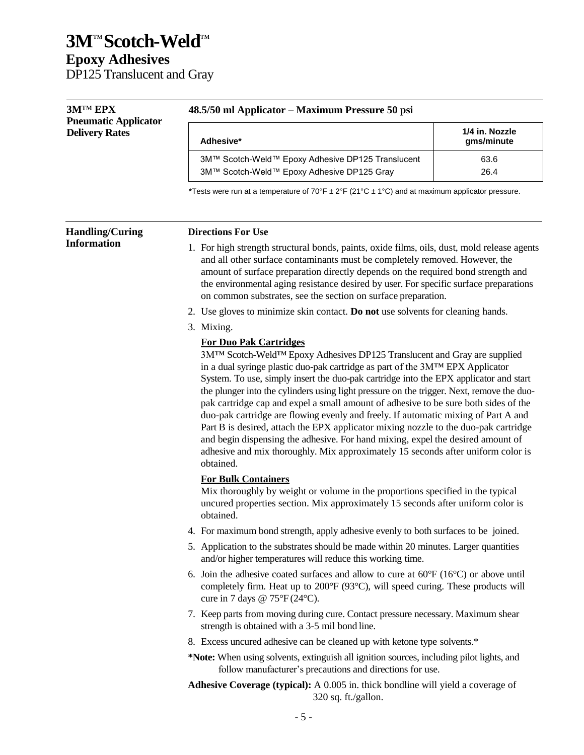## **3M**™ **Scotch-Weld**™ **Epoxy Adhesives**

DP125 Translucent and Gray

| <b>3MTM EPX</b>                                      | 48.5/50 ml Applicator – Maximum Pressure 50 psi                                                                                                                                                                                                                                                                                                                                                                                                                                                                                                                                                                                                                                                                                                                                                                                           |                              |  |
|------------------------------------------------------|-------------------------------------------------------------------------------------------------------------------------------------------------------------------------------------------------------------------------------------------------------------------------------------------------------------------------------------------------------------------------------------------------------------------------------------------------------------------------------------------------------------------------------------------------------------------------------------------------------------------------------------------------------------------------------------------------------------------------------------------------------------------------------------------------------------------------------------------|------------------------------|--|
| <b>Pneumatic Applicator</b><br><b>Delivery Rates</b> | Adhesive*                                                                                                                                                                                                                                                                                                                                                                                                                                                                                                                                                                                                                                                                                                                                                                                                                                 | 1/4 in. Nozzle<br>gms/minute |  |
|                                                      | 3M™ Scotch-Weld™ Epoxy Adhesive DP125 Translucent<br>3M™ Scotch-Weld™ Epoxy Adhesive DP125 Gray                                                                                                                                                                                                                                                                                                                                                                                                                                                                                                                                                                                                                                                                                                                                           | 63.6<br>26.4                 |  |
|                                                      | *Tests were run at a temperature of 70°F $\pm$ 2°F (21°C $\pm$ 1°C) and at maximum applicator pressure.                                                                                                                                                                                                                                                                                                                                                                                                                                                                                                                                                                                                                                                                                                                                   |                              |  |
| <b>Handling/Curing</b>                               | <b>Directions For Use</b>                                                                                                                                                                                                                                                                                                                                                                                                                                                                                                                                                                                                                                                                                                                                                                                                                 |                              |  |
| <b>Information</b>                                   | 1. For high strength structural bonds, paints, oxide films, oils, dust, mold release agents<br>and all other surface contaminants must be completely removed. However, the<br>amount of surface preparation directly depends on the required bond strength and<br>the environmental aging resistance desired by user. For specific surface preparations<br>on common substrates, see the section on surface preparation.                                                                                                                                                                                                                                                                                                                                                                                                                  |                              |  |
|                                                      | 2. Use gloves to minimize skin contact. Do not use solvents for cleaning hands.                                                                                                                                                                                                                                                                                                                                                                                                                                                                                                                                                                                                                                                                                                                                                           |                              |  |
|                                                      | 3. Mixing.                                                                                                                                                                                                                                                                                                                                                                                                                                                                                                                                                                                                                                                                                                                                                                                                                                |                              |  |
|                                                      | <b>For Duo Pak Cartridges</b><br>3M™ Scotch-Weld™ Epoxy Adhesives DP125 Translucent and Gray are supplied<br>in a dual syringe plastic duo-pak cartridge as part of the 3MTM EPX Applicator<br>System. To use, simply insert the duo-pak cartridge into the EPX applicator and start<br>the plunger into the cylinders using light pressure on the trigger. Next, remove the duo-<br>pak cartridge cap and expel a small amount of adhesive to be sure both sides of the<br>duo-pak cartridge are flowing evenly and freely. If automatic mixing of Part A and<br>Part B is desired, attach the EPX applicator mixing nozzle to the duo-pak cartridge<br>and begin dispensing the adhesive. For hand mixing, expel the desired amount of<br>adhesive and mix thoroughly. Mix approximately 15 seconds after uniform color is<br>obtained. |                              |  |
|                                                      | <b>For Bulk Containers</b><br>Mix thoroughly by weight or volume in the proportions specified in the typical<br>uncured properties section. Mix approximately 15 seconds after uniform color is<br>obtained.                                                                                                                                                                                                                                                                                                                                                                                                                                                                                                                                                                                                                              |                              |  |
|                                                      | 4. For maximum bond strength, apply adhesive evenly to both surfaces to be joined.                                                                                                                                                                                                                                                                                                                                                                                                                                                                                                                                                                                                                                                                                                                                                        |                              |  |
|                                                      | 5. Application to the substrates should be made within 20 minutes. Larger quantities<br>and/or higher temperatures will reduce this working time.                                                                                                                                                                                                                                                                                                                                                                                                                                                                                                                                                                                                                                                                                         |                              |  |
|                                                      | 6. Join the adhesive coated surfaces and allow to cure at $60^{\circ}F(16^{\circ}C)$ or above until<br>completely firm. Heat up to 200°F (93°C), will speed curing. These products will<br>cure in 7 days @ $75^{\circ}F(24^{\circ}C)$ .                                                                                                                                                                                                                                                                                                                                                                                                                                                                                                                                                                                                  |                              |  |
|                                                      | 7. Keep parts from moving during cure. Contact pressure necessary. Maximum shear<br>strength is obtained with a 3-5 mil bond line.                                                                                                                                                                                                                                                                                                                                                                                                                                                                                                                                                                                                                                                                                                        |                              |  |
|                                                      | 8. Excess uncured adhesive can be cleaned up with ketone type solvents.*                                                                                                                                                                                                                                                                                                                                                                                                                                                                                                                                                                                                                                                                                                                                                                  |                              |  |
|                                                      | *Note: When using solvents, extinguish all ignition sources, including pilot lights, and<br>follow manufacturer's precautions and directions for use.                                                                                                                                                                                                                                                                                                                                                                                                                                                                                                                                                                                                                                                                                     |                              |  |
|                                                      | <b>Adhesive Coverage (typical):</b> A 0.005 in. thick bondline will yield a coverage of<br>320 sq. ft./gallon.                                                                                                                                                                                                                                                                                                                                                                                                                                                                                                                                                                                                                                                                                                                            |                              |  |
|                                                      | 5                                                                                                                                                                                                                                                                                                                                                                                                                                                                                                                                                                                                                                                                                                                                                                                                                                         |                              |  |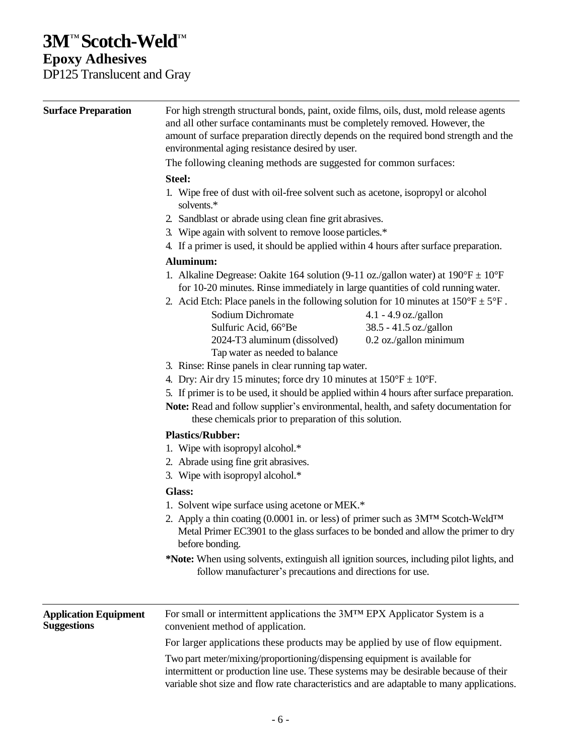## **Epoxy Adhesives**

DP125 Translucent and Gray

| <b>Surface Preparation</b>                         | For high strength structural bonds, paint, oxide films, oils, dust, mold release agents<br>and all other surface contaminants must be completely removed. However, the<br>amount of surface preparation directly depends on the required bond strength and the<br>environmental aging resistance desired by user.<br>The following cleaning methods are suggested for common surfaces:<br>Steel:<br>1. Wipe free of dust with oil-free solvent such as acetone, isopropyl or alcohol<br>solvents.*<br>2. Sandblast or abrade using clean fine grit abrasives.<br>3. Wipe again with solvent to remove loose particles.*<br>4. If a primer is used, it should be applied within 4 hours after surface preparation.                                                   |                                                  |  |  |  |
|----------------------------------------------------|---------------------------------------------------------------------------------------------------------------------------------------------------------------------------------------------------------------------------------------------------------------------------------------------------------------------------------------------------------------------------------------------------------------------------------------------------------------------------------------------------------------------------------------------------------------------------------------------------------------------------------------------------------------------------------------------------------------------------------------------------------------------|--------------------------------------------------|--|--|--|
|                                                    |                                                                                                                                                                                                                                                                                                                                                                                                                                                                                                                                                                                                                                                                                                                                                                     |                                                  |  |  |  |
|                                                    |                                                                                                                                                                                                                                                                                                                                                                                                                                                                                                                                                                                                                                                                                                                                                                     |                                                  |  |  |  |
|                                                    | Aluminum:<br>1. Alkaline Degrease: Oakite 164 solution (9-11 oz./gallon water) at $190^{\circ}F \pm 10^{\circ}F$<br>for 10-20 minutes. Rinse immediately in large quantities of cold running water.<br>2. Acid Etch: Place panels in the following solution for 10 minutes at $150^{\circ}F \pm 5^{\circ}F$ .                                                                                                                                                                                                                                                                                                                                                                                                                                                       |                                                  |  |  |  |
|                                                    | Sodium Dichromate                                                                                                                                                                                                                                                                                                                                                                                                                                                                                                                                                                                                                                                                                                                                                   | $4.1 - 4.9$ oz./gallon                           |  |  |  |
|                                                    | Sulfuric Acid, 66°Be<br>2024-T3 aluminum (dissolved)<br>Tap water as needed to balance                                                                                                                                                                                                                                                                                                                                                                                                                                                                                                                                                                                                                                                                              | 38.5 - 41.5 oz./gallon<br>0.2 oz./gallon minimum |  |  |  |
|                                                    | 3. Rinse: Rinse panels in clear running tap water.                                                                                                                                                                                                                                                                                                                                                                                                                                                                                                                                                                                                                                                                                                                  |                                                  |  |  |  |
|                                                    | 4. Dry: Air dry 15 minutes; force dry 10 minutes at $150^{\circ}$ F $\pm$ 10°F.<br>5. If primer is to be used, it should be applied within 4 hours after surface preparation.<br>Note: Read and follow supplier's environmental, health, and safety documentation for<br>these chemicals prior to preparation of this solution.<br><b>Plastics/Rubber:</b><br>1. Wipe with isopropyl alcohol.*<br>2. Abrade using fine grit abrasives.<br>3. Wipe with isopropyl alcohol.*<br><b>Glass:</b><br>1. Solvent wipe surface using acetone or MEK.*<br>2. Apply a thin coating (0.0001 in. or less) of primer such as 3M <sup>TM</sup> Scotch-Weld <sup>TM</sup><br>Metal Primer EC3901 to the glass surfaces to be bonded and allow the primer to dry<br>before bonding. |                                                  |  |  |  |
|                                                    |                                                                                                                                                                                                                                                                                                                                                                                                                                                                                                                                                                                                                                                                                                                                                                     |                                                  |  |  |  |
|                                                    |                                                                                                                                                                                                                                                                                                                                                                                                                                                                                                                                                                                                                                                                                                                                                                     |                                                  |  |  |  |
|                                                    |                                                                                                                                                                                                                                                                                                                                                                                                                                                                                                                                                                                                                                                                                                                                                                     |                                                  |  |  |  |
|                                                    |                                                                                                                                                                                                                                                                                                                                                                                                                                                                                                                                                                                                                                                                                                                                                                     |                                                  |  |  |  |
| <b>Application Equipment</b><br><b>Suggestions</b> | For small or intermittent applications the 3M™ EPX Applicator System is a<br>convenient method of application.                                                                                                                                                                                                                                                                                                                                                                                                                                                                                                                                                                                                                                                      |                                                  |  |  |  |
|                                                    | For larger applications these products may be applied by use of flow equipment.                                                                                                                                                                                                                                                                                                                                                                                                                                                                                                                                                                                                                                                                                     |                                                  |  |  |  |
|                                                    | Two part meter/mixing/proportioning/dispensing equipment is available for<br>intermittent or production line use. These systems may be desirable because of their<br>variable shot size and flow rate characteristics and are adaptable to many applications.                                                                                                                                                                                                                                                                                                                                                                                                                                                                                                       |                                                  |  |  |  |